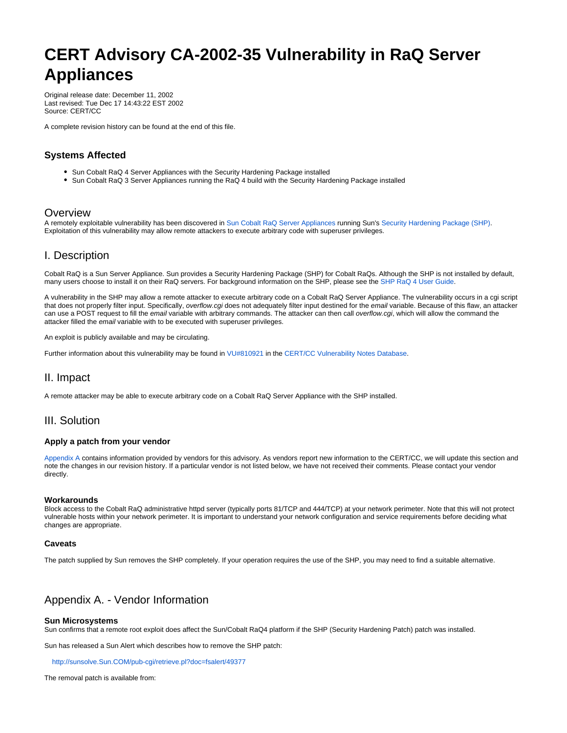# **CERT Advisory CA-2002-35 Vulnerability in RaQ Server Appliances**

Original release date: December 11, 2002 Last revised: Tue Dec 17 14:43:22 EST 2002 Source: CERT/CC

A complete revision history can be found at the end of this file.

## **Systems Affected**

- Sun Cobalt RaQ 4 Server Appliances with the Security Hardening Package installed
- Sun Cobalt RaQ 3 Server Appliances running the RaQ 4 build with the Security Hardening Package installed

## Overview

A remotely exploitable vulnerability has been discovered in [Sun Cobalt RaQ Server Appliances](http://www.sun.com/hardware/serverappliances/) running Sun's [Security Hardening Package \(SHP\).](http://www.sun.com/hardware/serverappliances/pdfs/support/RaQ_4_SHP_UG.pdf) Exploitation of this vulnerability may allow remote attackers to execute arbitrary code with superuser privileges.

## I. Description

Cobalt RaQ is a Sun Server Appliance. Sun provides a Security Hardening Package (SHP) for Cobalt RaQs. Although the SHP is not installed by default, many users choose to install it on their RaQ servers. For background information on the SHP, please see the [SHP RaQ 4 User Guide](http://www.sun.com/hardware/serverappliances/pdfs/support/RaQ_4_SHP_UG.pdf).

A vulnerability in the SHP may allow a remote attacker to execute arbitrary code on a Cobalt RaQ Server Appliance. The vulnerability occurs in a cgi script that does not properly filter input. Specifically, overflow.cgi does not adequately filter input destined for the email variable. Because of this flaw, an attacker can use a POST request to fill the email variable with arbitrary commands. The attacker can then call overflow.cgi, which will allow the command the attacker filled the email variable with to be executed with superuser privileges.

An exploit is publicly available and may be circulating.

Further information about this vulnerability may be found in [VU#810921](http://www.kb.cert.org/vuls/id/810921) in the [CERT/CC Vulnerability Notes Database.](http://www.kb.cert.org/vuls)

## II. Impact

A remote attacker may be able to execute arbitrary code on a Cobalt RaQ Server Appliance with the SHP installed.

## III. Solution

### **Apply a patch from your vendor**

[Appendix A](#page-0-0) contains information provided by vendors for this advisory. As vendors report new information to the CERT/CC, we will update this section and note the changes in our revision history. If a particular vendor is not listed below, we have not received their comments. Please contact your vendor directly.

#### **Workarounds**

Block access to the Cobalt RaQ administrative httpd server (typically ports 81/TCP and 444/TCP) at your network perimeter. Note that this will not protect vulnerable hosts within your network perimeter. It is important to understand your network configuration and service requirements before deciding what changes are appropriate.

#### **Caveats**

The patch supplied by Sun removes the SHP completely. If your operation requires the use of the SHP, you may need to find a suitable alternative.

## <span id="page-0-0"></span>Appendix A. - Vendor Information

#### **Sun Microsystems**

Sun confirms that a remote root exploit does affect the Sun/Cobalt RaQ4 platform if the SHP (Security Hardening Patch) patch was installed.

Sun has released a Sun Alert which describes how to remove the SHP patch:

<http://sunsolve.Sun.COM/pub-cgi/retrieve.pl?doc=fsalert/49377>

The removal patch is available from: